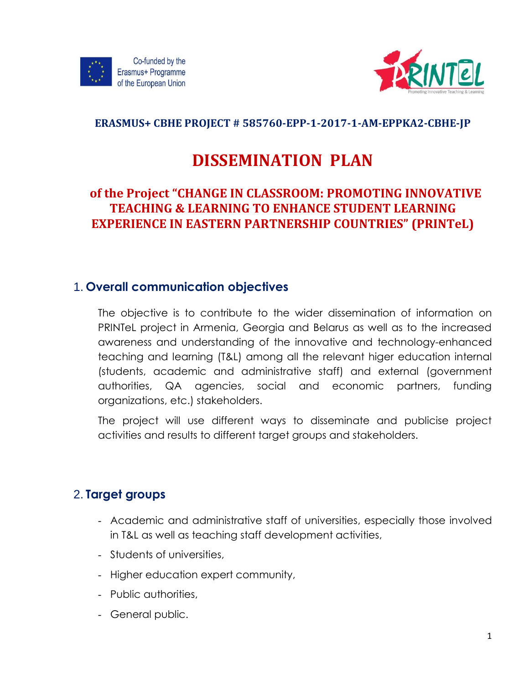



#### **ERASMUS+ CBHE PROJECT # 585760-EPP-1-2017-1-AM-EPPKA2-CBHE-JP**

# **DISSEMINATION PLAN**

## **of the Project "CHANGE IN CLASSROOM: PROMOTING INNOVATIVE TEACHING & LEARNING TO ENHANCE STUDENT LEARNING EXPERIENCE IN EASTERN PARTNERSHIP COUNTRIES" (PRINTeL)**

### 1. **Overall communication objectives**

The objective is to contribute to the wider dissemination of information on PRINTeL project in Armenia, Georgia and Belarus as well as to the increased awareness and understanding of the innovative and technology-enhanced teaching and learning (T&L) among all the relevant higer education internal (students, academic and administrative staff) and external (government authorities, QA agencies, social and economic partners, funding organizations, etc.) stakeholders.

The project will use different ways to disseminate and publicise project activities and results to different target groups and stakeholders.

# 2. **Target groups**

- Academic and administrative staff of universities, especially those involved in T&L as well as teaching staff development activities,
- Students of universities,
- Higher education expert community,
- Public authorities,
- General public.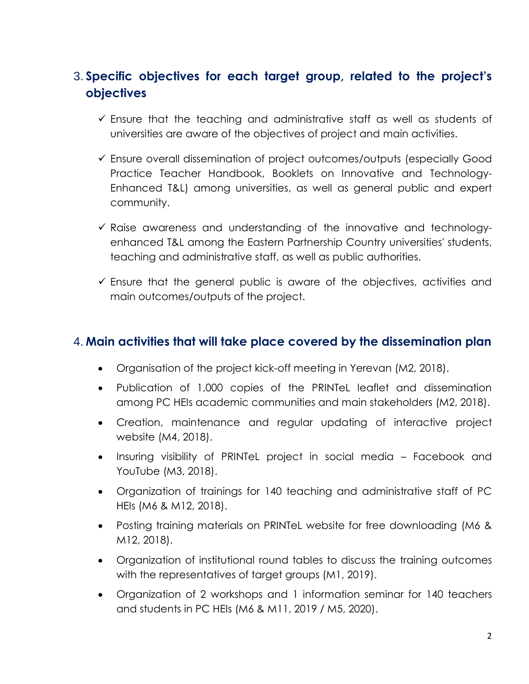# 3. **Specific objectives for each target group, related to the project's objectives**

- $\checkmark$  Ensure that the teaching and administrative staff as well as students of universities are aware of the objectives of project and main activities.
- Ensure overall dissemination of project outcomes/outputs (especially Good Practice Teacher Handbook, Booklets on Innovative and Technology-Enhanced T&L) among universities, as well as general public and expert community.
- $\checkmark$  Raise awareness and understanding of the innovative and technologyenhanced T&L among the Eastern Partnership Country universities' students, teaching and administrative staff, as well as public authorities.
- $\checkmark$  Ensure that the general public is aware of the objectives, activities and main outcomes/outputs of the project.

### 4. **Main activities that will take place covered by the dissemination plan**

- Organisation of the project kick-off meeting in Yerevan (M2, 2018).
- Publication of 1,000 copies of the PRINTeL leaflet and dissemination among PC HEIs academic communities and main stakeholders (M2, 2018).
- Creation, maintenance and regular updating of interactive project website (M4, 2018).
- Insuring visibility of PRINTeL project in social media Facebook and YouTube (M3, 2018).
- Organization of trainings for 140 teaching and administrative staff of PC HEIs (M6 & M12, 2018).
- Posting training materials on PRINTeL website for free downloading (M6 & M12, 2018).
- Organization of institutional round tables to discuss the training outcomes with the representatives of target groups (M1, 2019).
- Organization of 2 workshops and 1 information seminar for 140 teachers and students in PC HEIs (M6 & M11, 2019 / M5, 2020).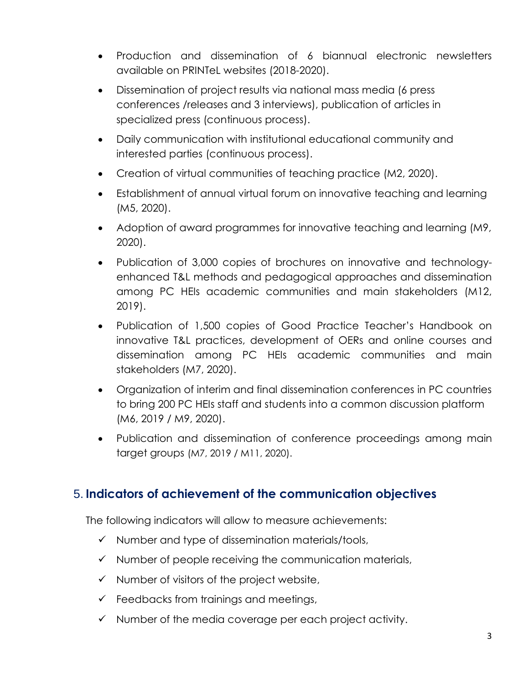- Production and dissemination of 6 biannual electronic newsletters available on PRINTeL websites (2018-2020).
- Dissemination of project results via national mass media (6 press conferences /releases and 3 interviews), publication of articles in specialized press (continuous process).
- Daily communication with institutional educational community and interested parties (continuous process).
- Creation of virtual communities of teaching practice (M2, 2020).
- Establishment of annual virtual forum on innovative teaching and learning (M5, 2020).
- Adoption of award programmes for innovative teaching and learning (M9, 2020).
- Publication of 3,000 copies of brochures on innovative and technologyenhanced T&L methods and pedagogical approaches and dissemination among PC HEIs academic communities and main stakeholders (M12, 2019).
- Publication of 1,500 copies of Good Practice Teacher's Handbook on innovative T&L practices, development of OERs and online courses and dissemination among PC HEIs academic communities and main stakeholders (M7, 2020).
- Organization of interim and final dissemination conferences in PC countries to bring 200 PC HEIs staff and students into a common discussion platform (M6, 2019 / M9, 2020).
- Publication and dissemination of conference proceedings among main target groups (M7, 2019 / M11, 2020).

### 5. **Indicators of achievement of the communication objectives**

The following indicators will allow to measure achievements:

- $\checkmark$  Number and type of dissemination materials/tools,
- $\checkmark$  Number of people receiving the communication materials,
- $\checkmark$  Number of visitors of the project website,
- $\checkmark$  Feedbacks from trainings and meetings,
- $\checkmark$  Number of the media coverage per each project activity.